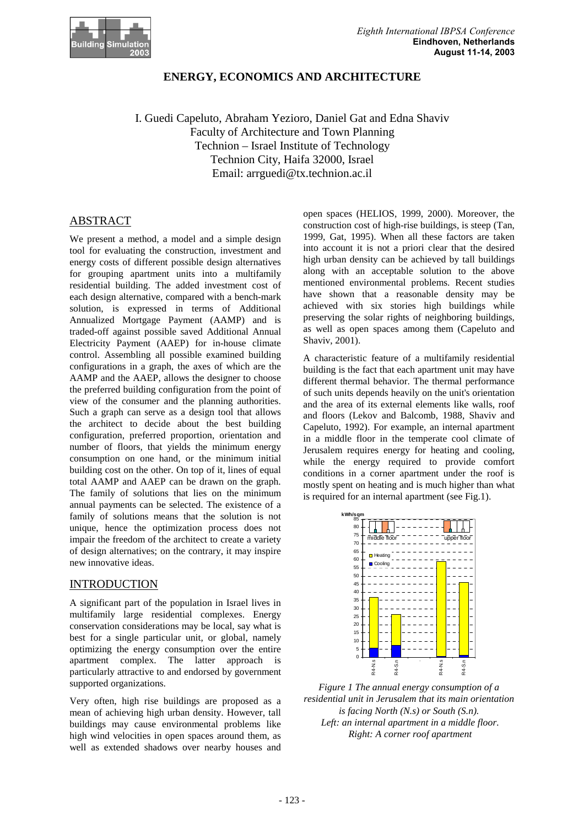

# **ENERGY, ECONOMICS AND ARCHITECTURE**

I. Guedi Capeluto, Abraham Yezioro, Daniel Gat and Edna Shaviv Faculty of Architecture and Town Planning Technion – Israel Institute of Technology Technion City, Haifa 32000, Israel Email: arrguedi@tx.technion.ac.il

# ABSTRACT

We present a method, a model and a simple design tool for evaluating the construction, investment and energy costs of different possible design alternatives for grouping apartment units into a multifamily residential building. The added investment cost of each design alternative, compared with a bench-mark solution, is expressed in terms of Additional Annualized Mortgage Payment (AAMP) and is traded-off against possible saved Additional Annual Electricity Payment (AAEP) for in-house climate control. Assembling all possible examined building configurations in a graph, the axes of which are the AAMP and the AAEP, allows the designer to choose the preferred building configuration from the point of view of the consumer and the planning authorities. Such a graph can serve as a design tool that allows the architect to decide about the best building configuration, preferred proportion, orientation and number of floors, that yields the minimum energy consumption on one hand, or the minimum initial building cost on the other. On top of it, lines of equal total AAMP and AAEP can be drawn on the graph. The family of solutions that lies on the minimum annual payments can be selected. The existence of a family of solutions means that the solution is not unique, hence the optimization process does not impair the freedom of the architect to create a variety of design alternatives; on the contrary, it may inspire new innovative ideas.

## INTRODUCTION

A significant part of the population in Israel lives in multifamily large residential complexes. Energy conservation considerations may be local, say what is best for a single particular unit, or global, namely optimizing the energy consumption over the entire apartment complex. The latter approach is particularly attractive to and endorsed by government supported organizations.

Very often, high rise buildings are proposed as a mean of achieving high urban density. However, tall buildings may cause environmental problems like high wind velocities in open spaces around them, as well as extended shadows over nearby houses and

open spaces (HELIOS, 1999, 2000). Moreover, the construction cost of high-rise buildings, is steep (Tan, 1999, Gat, 1995). When all these factors are taken into account it is not a priori clear that the desired high urban density can be achieved by tall buildings along with an acceptable solution to the above mentioned environmental problems. Recent studies have shown that a reasonable density may be achieved with six stories high buildings while preserving the solar rights of neighboring buildings, as well as open spaces among them (Capeluto and Shaviv, 2001).

A characteristic feature of a multifamily residential building is the fact that each apartment unit may have different thermal behavior. The thermal performance of such units depends heavily on the unit's orientation and the area of its external elements like walls, roof and floors (Lekov and Balcomb, 1988, Shaviv and Capeluto, 1992). For example, an internal apartment in a middle floor in the temperate cool climate of Jerusalem requires energy for heating and cooling, while the energy required to provide comfort conditions in a corner apartment under the roof is mostly spent on heating and is much higher than what is required for an internal apartment (see Fig.1).



*Figure 1 The annual energy consumption of a residential unit in Jerusalem that its main orientation is facing North (N.s) or South (S.n). Left: an internal apartment in a middle floor. Right: A corner roof apartment*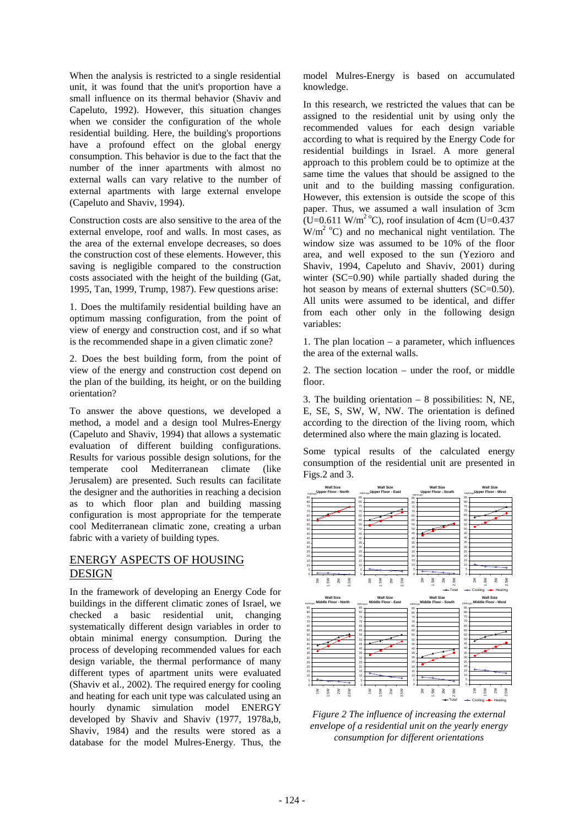When the analysis is restricted to a single residential unit, it was found that the unit's proportion have a small influence on its thermal behavior (Shaviv and Capeluto, 1992). However, this situation changes when we consider the configuration of the whole residential building. Here, the building's proportions have a profound effect on the global energy consumption. This behavior is due to the fact that the number of the inner apartments with almost no external walls can vary relative to the number of external apartments with large external envelope (Capeluto and Shaviv, 1994).

Construction costs are also sensitive to the area of the external envelope, roof and walls. In most cases, as the area of the external envelope decreases, so does the construction cost of these elements. However, this saving is negligible compared to the construction costs associated with the height of the building (Gat, 1995, Tan, 1999, Trump, 1987). Few questions arise:

1. Does the multifamily residential building have an optimum massing configuration, from the point of view of energy and construction cost, and if so what is the recommended shape in a given climatic zone?

2. Does the best building form, from the point of view of the energy and construction cost depend on the plan of the building, its height, or on the building orientation?

To answer the above questions, we developed a method, a model and a design tool Mulres-Energy (Capeluto and Shaviv, 1994) that allows a systematic evaluation of different building configurations. Results for various possible design solutions, for the temperate cool Mediterranean climate (like Jerusalem) are presented. Such results can facilitate the designer and the authorities in reaching a decision as to which floor plan and building massing configuration is most appropriate for the temperate cool Mediterranean climatic zone, creating a urban fabric with a variety of building types.

# ENERGY ASPECTS OF HOUSING DESIGN

In the framework of developing an Energy Code for buildings in the different climatic zones of Israel, we checked a basic residential unit, changing systematically different design variables in order to obtain minimal energy consumption. During the process of developing recommended values for each design variable, the thermal performance of many different types of apartment units were evaluated (Shaviv et al., 2002). The required energy for cooling and heating for each unit type was calculated using an hourly dynamic simulation model ENERGY developed by Shaviv and Shaviv (1977, 1978a,b, Shaviv, 1984) and the results were stored as a database for the model Mulres-Energy. Thus, the

model Mulres-Energy is based on accumulated knowledge.

In this research, we restricted the values that can be assigned to the residential unit by using only the recommended values for each design variable according to what is required by the Energy Code for residential buildings in Israel. A more general approach to this problem could be to optimize at the same time the values that should be assigned to the unit and to the building massing configuration. However, this extension is outside the scope of this paper. Thus, we assumed a wall insulation of 3cm  $(U=0.611 \text{ W/m}^2 \text{°C})$ , roof insulation of 4cm (U=0.437)  $W/m^2$  °C) and no mechanical night ventilation. The window size was assumed to be 10% of the floor area, and well exposed to the sun (Yezioro and Shaviv, 1994, Capeluto and Shaviv, 2001) during winter (SC=0.90) while partially shaded during the hot season by means of external shutters (SC=0.50). All units were assumed to be identical, and differ from each other only in the following design variables:

1. The plan location – a parameter, which influences the area of the external walls.

2. The section location – under the roof, or middle floor.

3. The building orientation – 8 possibilities: N, NE, E, SE, S, SW, W, NW. The orientation is defined according to the direction of the living room, which determined also where the main glazing is located.

Some typical results of the calculated energy consumption of the residential unit are presented in Figs.2 and 3.



*Figure 2 The influence of increasing the external envelope of a residential unit on the yearly energy consumption for different orientations*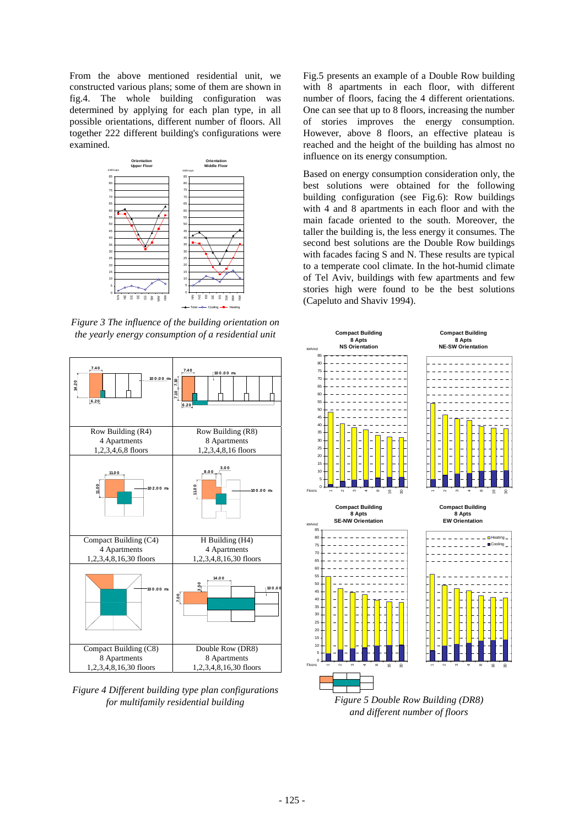From the above mentioned residential unit, we constructed various plans; some of them are shown in fig.4. The whole building configuration was determined by applying for each plan type, in all possible orientations, different number of floors. All together 222 different building's configurations were examined.



*Figure 3 The influence of the building orientation on the yearly energy consumption of a residential unit* 



*Figure 4 Different building type plan configurations for multifamily residential building* 

Fig.5 presents an example of a Double Row building with 8 apartments in each floor, with different number of floors, facing the 4 different orientations. One can see that up to 8 floors, increasing the number of stories improves the energy consumption. However, above 8 floors, an effective plateau is reached and the height of the building has almost no influence on its energy consumption.

Based on energy consumption consideration only, the best solutions were obtained for the following building configuration (see Fig.6): Row buildings with 4 and 8 apartments in each floor and with the main facade oriented to the south. Moreover, the taller the building is, the less energy it consumes. The second best solutions are the Double Row buildings with facades facing S and N. These results are typical to a temperate cool climate. In the hot-humid climate of Tel Aviv, buildings with few apartments and few stories high were found to be the best solutions (Capeluto and Shaviv 1994).

![](_page_2_Figure_7.jpeg)

*Figure 5 Double Row Building (DR8) and different number of floors*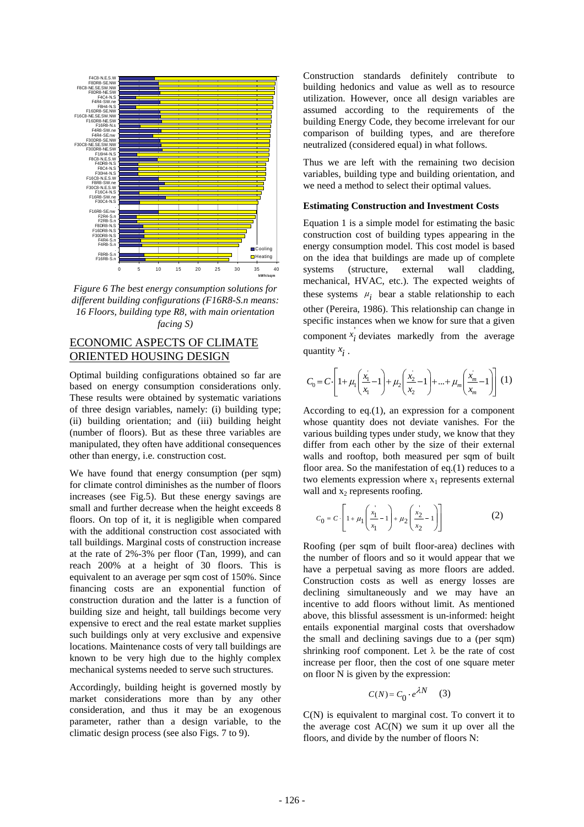![](_page_3_Figure_0.jpeg)

*Figure 6 The best energy consumption solutions for different building configurations (F16R8-S.n means: 16 Floors, building type R8, with main orientation facing S)* 

# ECONOMIC ASPECTS OF CLIMATE ORIENTED HOUSING DESIGN

Optimal building configurations obtained so far are based on energy consumption considerations only. These results were obtained by systematic variations of three design variables, namely: (i) building type; (ii) building orientation; and (iii) building height (number of floors). But as these three variables are manipulated, they often have additional consequences other than energy, i.e. construction cost.

We have found that energy consumption (per sqm) for climate control diminishes as the number of floors increases (see Fig.5). But these energy savings are small and further decrease when the height exceeds 8 floors. On top of it, it is negligible when compared with the additional construction cost associated with tall buildings. Marginal costs of construction increase at the rate of 2%-3% per floor (Tan, 1999), and can reach 200% at a height of 30 floors. This is equivalent to an average per sqm cost of 150%. Since financing costs are an exponential function of construction duration and the latter is a function of building size and height, tall buildings become very expensive to erect and the real estate market supplies such buildings only at very exclusive and expensive locations. Maintenance costs of very tall buildings are known to be very high due to the highly complex mechanical systems needed to serve such structures.

Accordingly, building height is governed mostly by market considerations more than by any other consideration, and thus it may be an exogenous parameter, rather than a design variable, to the climatic design process (see also Figs. 7 to 9).

Construction standards definitely contribute to building hedonics and value as well as to resource utilization. However, once all design variables are assumed according to the requirements of the building Energy Code, they become irrelevant for our comparison of building types, and are therefore neutralized (considered equal) in what follows.

Thus we are left with the remaining two decision variables, building type and building orientation, and we need a method to select their optimal values.

#### **Estimating Construction and Investment Costs**

Equation 1 is a simple model for estimating the basic construction cost of building types appearing in the energy consumption model. This cost model is based on the idea that buildings are made up of complete systems (structure, external wall cladding, mechanical, HVAC, etc.). The expected weights of these systems  $\mu_i$  bear a stable relationship to each other (Pereira, 1986). This relationship can change in specific instances when we know for sure that a given component  $x_i$ <sup>'</sup> deviates markedly from the average quantity *x i* .

$$
C_0 = C \cdot \left[ 1 + \mu_1 \left( \frac{x_1}{x_1} - 1 \right) + \mu_2 \left( \frac{x_2}{x_2} - 1 \right) + \dots + \mu_m \left( \frac{x_m}{x_m} - 1 \right) \right] (1)
$$

According to eq.(1), an expression for a component whose quantity does not deviate vanishes. For the various building types under study, we know that they differ from each other by the size of their external walls and rooftop, both measured per sqm of built floor area. So the manifestation of eq.(1) reduces to a two elements expression where  $x_1$  represents external wall and  $x_2$  represents roofing.

$$
C_0 = C \cdot \left[ 1 + \mu_1 \left( \frac{x_1}{x_1} - 1 \right) + \mu_2 \left( \frac{x_2}{x_2} - 1 \right) \right]
$$
 (2)

Roofing (per sqm of built floor-area) declines with the number of floors and so it would appear that we have a perpetual saving as more floors are added. Construction costs as well as energy losses are declining simultaneously and we may have an incentive to add floors without limit. As mentioned above, this blissful assessment is un-informed: height entails exponential marginal costs that overshadow the small and declining savings due to a (per sqm) shrinking roof component. Let  $\lambda$  be the rate of cost increase per floor, then the cost of one square meter on floor N is given by the expression:

$$
C(N) = C_0 \cdot e^{\lambda N} \qquad (3)
$$

C(N) is equivalent to marginal cost. To convert it to the average cost  $AC(N)$  we sum it up over all the floors, and divide by the number of floors N: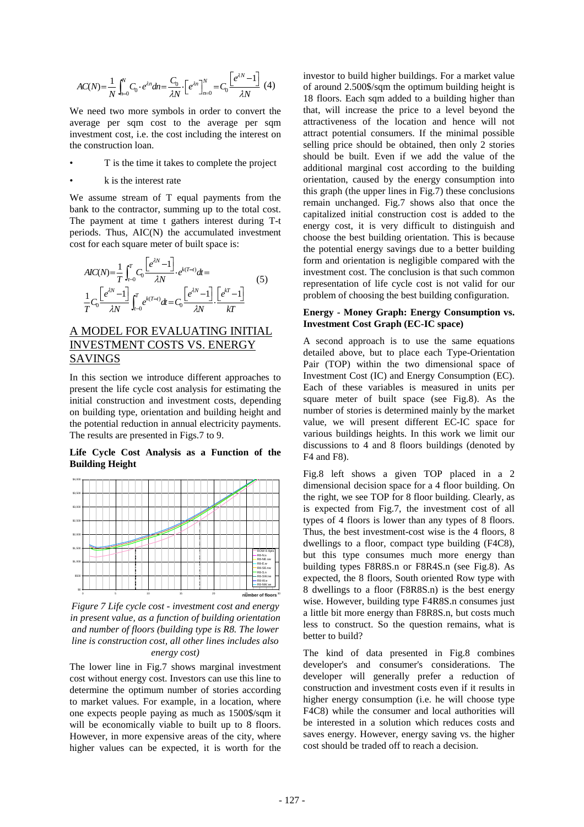$$
AC(N) = \frac{1}{N} \int_{n=0}^{N} C_0 \cdot e^{\lambda n} dn = \frac{C_0}{\lambda N} \left[ e^{\lambda n} \right]_{n=0}^{N} = C_0 \frac{\left[ e^{\lambda N} - 1 \right]}{\lambda N} \tag{4}
$$

We need two more symbols in order to convert the average per sqm cost to the average per sqm investment cost, i.e. the cost including the interest on the construction loan.

- T is the time it takes to complete the project
- k is the interest rate

We assume stream of T equal payments from the bank to the contractor, summing up to the total cost. The payment at time t gathers interest during T-t periods. Thus, AIC(N) the accumulated investment cost for each square meter of built space is:

$$
AIC(N) = \frac{1}{T} \int_{t=0}^{T} C_0 \frac{\left[e^{iN} - 1\right]}{\lambda N} \cdot e^{k(T-t)} dt =
$$
  

$$
\frac{1}{T} C_0 \frac{\left[e^{iN} - 1\right]}{\lambda N} \int_{t=0}^{T} e^{k(T-t)} dt = C_0 \frac{\left[e^{iN} - 1\right]}{\lambda N} \cdot \frac{\left[e^{kT} - 1\right]}{kT}
$$
(5)

# A MODEL FOR EVALUATING INITIAL INVESTMENT COSTS VS. ENERGY SAVINGS

In this section we introduce different approaches to present the life cycle cost analysis for estimating the initial construction and investment costs, depending on building type, orientation and building height and the potential reduction in annual electricity payments. The results are presented in Figs.7 to 9.

**Life Cycle Cost Analysis as a Function of the Building Height** 

![](_page_4_Figure_9.jpeg)

*Figure 7 Life cycle cost - investment cost and energy in present value, as a function of building orientation and number of floors (building type is R8. The lower line is construction cost, all other lines includes also energy cost)* 

The lower line in Fig.7 shows marginal investment cost without energy cost. Investors can use this line to determine the optimum number of stories according to market values. For example, in a location, where one expects people paying as much as 1500\$/sqm it will be economically viable to built up to 8 floors. However, in more expensive areas of the city, where higher values can be expected, it is worth for the

investor to build higher buildings. For a market value of around 2.500\$/sqm the optimum building height is 18 floors. Each sqm added to a building higher than that, will increase the price to a level beyond the attractiveness of the location and hence will not attract potential consumers. If the minimal possible selling price should be obtained, then only  $\overline{2}$  stories should be built. Even if we add the value of the additional marginal cost according to the building orientation, caused by the energy consumption into this graph (the upper lines in Fig.7) these conclusions remain unchanged. Fig.7 shows also that once the capitalized initial construction cost is added to the energy cost, it is very difficult to distinguish and choose the best building orientation. This is because the potential energy savings due to a better building form and orientation is negligible compared with the investment cost. The conclusion is that such common representation of life cycle cost is not valid for our problem of choosing the best building configuration.

#### **Energy - Money Graph: Energy Consumption vs. Investment Cost Graph (EC-IC space)**

A second approach is to use the same equations detailed above, but to place each Type-Orientation Pair (TOP) within the two dimensional space of Investment Cost (IC) and Energy Consumption (EC). Each of these variables is measured in units per square meter of built space (see Fig.8). As the number of stories is determined mainly by the market value, we will present different EC-IC space for various buildings heights. In this work we limit our discussions to 4 and 8 floors buildings (denoted by F4 and F8).

Fig.8 left shows a given TOP placed in a 2 dimensional decision space for a 4 floor building. On the right, we see TOP for 8 floor building. Clearly, as is expected from Fig.7, the investment cost of all types of 4 floors is lower than any types of 8 floors. Thus, the best investment-cost wise is the 4 floors, 8 dwellings to a floor, compact type building (F4C8), but this type consumes much more energy than building types F8R8S.n or F8R4S.n (see Fig.8). As expected, the 8 floors, South oriented Row type with 8 dwellings to a floor (F8R8S.n) is the best energy wise. However, building type F4R8S.n consumes just a little bit more energy than F8R8S.n, but costs much less to construct. So the question remains, what is better to build?

The kind of data presented in Fig.8 combines developer's and consumer's considerations. The developer will generally prefer a reduction of construction and investment costs even if it results in higher energy consumption (i.e. he will choose type F4C8) while the consumer and local authorities will be interested in a solution which reduces costs and saves energy. However, energy saving vs. the higher cost should be traded off to reach a decision.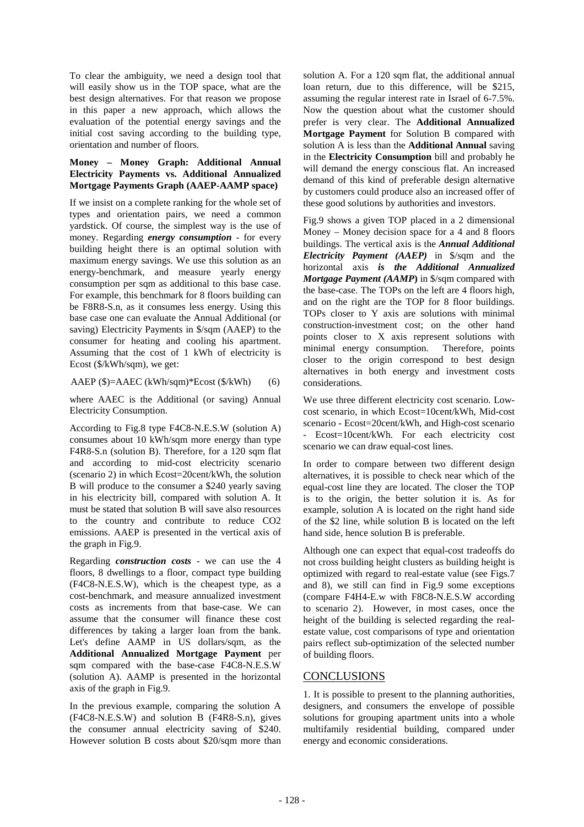To clear the ambiguity, we need a design tool that will easily show us in the TOP space, what are the best design alternatives. For that reason we propose in this paper a new approach, which allows the evaluation of the potential energy savings and the initial cost saving according to the building type, orientation and number of floors.

## **Money – Money Graph: Additional Annual Electricity Payments vs. Additional Annualized Mortgage Payments Graph (AAEP-AAMP space)**

If we insist on a complete ranking for the whole set of types and orientation pairs, we need a common yardstick. Of course, the simplest way is the use of money. Regarding *energy consumption* - for every building height there is an optimal solution with maximum energy savings. We use this solution as an energy-benchmark, and measure yearly energy consumption per sqm as additional to this base case. For example, this benchmark for 8 floors building can be F8R8-S.n, as it consumes less energy. Using this base case one can evaluate the Annual Additional (or saving) Electricity Payments in \$/sqm (AAEP) to the consumer for heating and cooling his apartment. Assuming that the cost of 1 kWh of electricity is Ecost (\$/kWh/sqm), we get:

### AAEP (\$)=AAEC (kWh/sqm)\*Ecost (\$/kWh) (6)

where AAEC is the Additional (or saving) Annual Electricity Consumption.

According to Fig.8 type F4C8-N.E.S.W (solution A) consumes about 10 kWh/sqm more energy than type F4R8-S.n (solution B). Therefore, for a 120 sqm flat and according to mid-cost electricity scenario (scenario 2) in which Ecost=20cent/kWh, the solution B will produce to the consumer a \$240 yearly saving in his electricity bill, compared with solution A. It must be stated that solution B will save also resources to the country and contribute to reduce CO2 emissions. AAEP is presented in the vertical axis of the graph in Fig.9.

Regarding *construction costs* - we can use the 4 floors, 8 dwellings to a floor, compact type building (F4C8-N.E.S.W), which is the cheapest type, as a cost-benchmark, and measure annualized investment costs as increments from that base-case. We can assume that the consumer will finance these cost differences by taking a larger loan from the bank. Let's define AAMP in US dollars/sqm, as the **Additional Annualized Mortgage Payment** per sqm compared with the base-case F4C8-N.E.S.W (solution A). AAMP is presented in the horizontal axis of the graph in Fig.9.

In the previous example, comparing the solution A (F4C8-N.E.S.W) and solution B (F4R8-S.n), gives the consumer annual electricity saving of \$240. However solution B costs about \$20/sqm more than solution A. For a 120 sqm flat, the additional annual loan return, due to this difference, will be \$215, assuming the regular interest rate in Israel of 6-7.5%. Now the question about what the customer should prefer is very clear. The **Additional Annualized Mortgage Payment** for Solution B compared with solution A is less than the **Additional Annual** saving in the **Electricity Consumption** bill and probably he will demand the energy conscious flat. An increased demand of this kind of preferable design alternative by customers could produce also an increased offer of these good solutions by authorities and investors.

Fig.9 shows a given TOP placed in a 2 dimensional Money – Money decision space for a 4 and 8 floors buildings. The vertical axis is the *Annual Additional Electricity Payment (AAEP)* in \$/sqm and the horizontal axis *is the Additional Annualized Mortgage Payment (AAMP***)** in \$/sqm compared with the base-case. The TOPs on the left are 4 floors high, and on the right are the TOP for 8 floor buildings. TOPs closer to Y axis are solutions with minimal construction-investment cost; on the other hand points closer to X axis represent solutions with minimal energy consumption. Therefore, points closer to the origin correspond to best design alternatives in both energy and investment costs considerations.

We use three different electricity cost scenario. Lowcost scenario, in which Ecost=10cent/kWh, Mid-cost scenario - Ecost=20cent/kWh, and High-cost scenario Ecost=10cent/kWh. For each electricity cost scenario we can draw equal-cost lines.

In order to compare between two different design alternatives, it is possible to check near which of the equal-cost line they are located. The closer the TOP is to the origin, the better solution it is. As for example, solution A is located on the right hand side of the \$2 line, while solution B is located on the left hand side, hence solution B is preferable.

Although one can expect that equal-cost tradeoffs do not cross building height clusters as building height is optimized with regard to real-estate value (see Figs.7 and 8), we still can find in Fig.9 some exceptions (compare F4H4-E.w with F8C8-N.E.S.W according to scenario 2). However, in most cases, once the height of the building is selected regarding the realestate value, cost comparisons of type and orientation pairs reflect sub-optimization of the selected number of building floors.

# **CONCLUSIONS**

1. It is possible to present to the planning authorities, designers, and consumers the envelope of possible solutions for grouping apartment units into a whole multifamily residential building, compared under energy and economic considerations.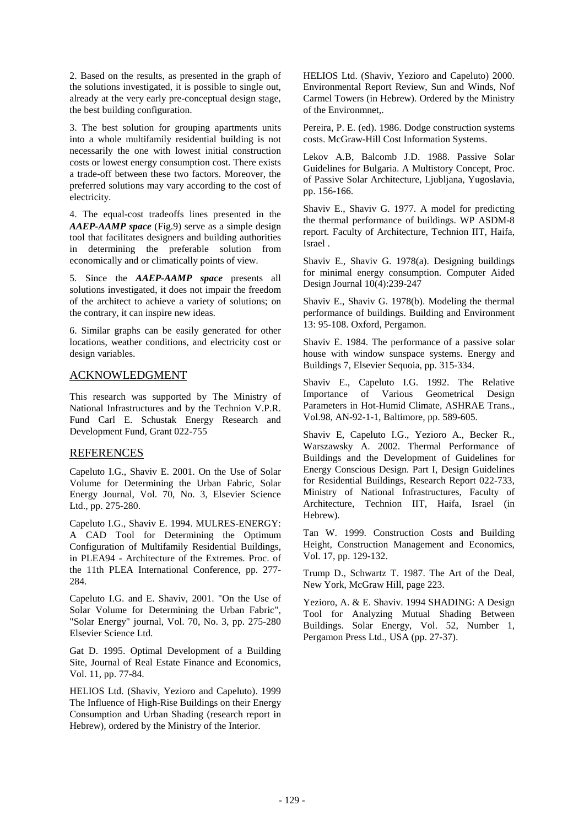2. Based on the results, as presented in the graph of the solutions investigated, it is possible to single out, already at the very early pre-conceptual design stage, the best building configuration.

3. The best solution for grouping apartments units into a whole multifamily residential building is not necessarily the one with lowest initial construction costs or lowest energy consumption cost. There exists a trade-off between these two factors. Moreover, the preferred solutions may vary according to the cost of electricity.

4. The equal-cost tradeoffs lines presented in the *AAEP-AAMP space* (Fig.9) serve as a simple design tool that facilitates designers and building authorities in determining the preferable solution from economically and or climatically points of view.

5. Since the *AAEP-AAMP space* presents all solutions investigated, it does not impair the freedom of the architect to achieve a variety of solutions; on the contrary, it can inspire new ideas.

6. Similar graphs can be easily generated for other locations, weather conditions, and electricity cost or design variables.

## ACKNOWLEDGMENT

This research was supported by The Ministry of National Infrastructures and by the Technion V.P.R. Fund Carl E. Schustak Energy Research and Development Fund, Grant 022-755

### REFERENCES

Capeluto I.G., Shaviv E. 2001. On the Use of Solar Volume for Determining the Urban Fabric, Solar Energy Journal, Vol. 70, No. 3, Elsevier Science Ltd., pp. 275-280.

Capeluto I.G., Shaviv E. 1994. MULRES-ENERGY: A CAD Tool for Determining the Optimum Configuration of Multifamily Residential Buildings, in PLEA94 - Architecture of the Extremes. Proc. of the 11th PLEA International Conference, pp. 277- 284.

Capeluto I.G. and E. Shaviv, 2001. "On the Use of Solar Volume for Determining the Urban Fabric", "Solar Energy" journal, Vol. 70, No. 3, pp. 275-280 Elsevier Science Ltd.

Gat D. 1995. Optimal Development of a Building Site, Journal of Real Estate Finance and Economics, Vol. 11, pp. 77-84.

HELIOS Ltd. (Shaviv, Yezioro and Capeluto). 1999 The Influence of High-Rise Buildings on their Energy Consumption and Urban Shading (research report in Hebrew), ordered by the Ministry of the Interior.

HELIOS Ltd. (Shaviv, Yezioro and Capeluto) 2000. Environmental Report Review, Sun and Winds, Nof Carmel Towers (in Hebrew). Ordered by the Ministry of the Environmnet,.

Pereira, P. E. (ed). 1986. Dodge construction systems costs. McGraw-Hill Cost Information Systems.

Lekov A.B, Balcomb J.D. 1988. Passive Solar Guidelines for Bulgaria. A Multistory Concept, Proc. of Passive Solar Architecture, Ljubljana, Yugoslavia, pp. 156-166.

Shaviv E., Shaviv G. 1977. A model for predicting the thermal performance of buildings. WP ASDM-8 report. Faculty of Architecture, Technion IIT, Haifa, Israel .

Shaviv E., Shaviv G. 1978(a). Designing buildings for minimal energy consumption. Computer Aided Design Journal 10(4):239-247

Shaviv E., Shaviv G. 1978(b). Modeling the thermal performance of buildings. Building and Environment 13: 95-108. Oxford, Pergamon.

Shaviv E. 1984. The performance of a passive solar house with window sunspace systems. Energy and Buildings 7, Elsevier Sequoia, pp. 315-334.

Shaviv E., Capeluto I.G. 1992. The Relative Importance of Various Geometrical Design Parameters in Hot-Humid Climate, ASHRAE Trans., Vol.98, AN-92-1-1, Baltimore, pp. 589-605.

Shaviv E, Capeluto I.G., Yezioro A., Becker R., Warszawsky A. 2002. Thermal Performance of Buildings and the Development of Guidelines for Energy Conscious Design. Part I, Design Guidelines for Residential Buildings, Research Report 022-733, Ministry of National Infrastructures, Faculty of Architecture, Technion IIT, Haifa, Israel (in Hebrew).

Tan W. 1999. Construction Costs and Building Height, Construction Management and Economics, Vol. 17, pp. 129-132.

Trump D., Schwartz T. 1987. The Art of the Deal, New York, McGraw Hill, page 223.

Yezioro, A. & E. Shaviv. 1994 SHADING: A Design Tool for Analyzing Mutual Shading Between Buildings. Solar Energy, Vol. 52, Number 1, Pergamon Press Ltd., USA (pp. 27-37).